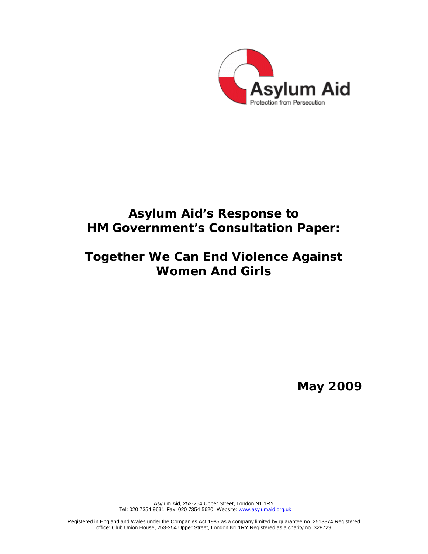

# **Asylum Aid's Response to HM Government's Consultation Paper:**

# **Together We Can End Violence Against Women And Girls**

**May 2009** 

Asylum Aid, 253-254 Upper Street, London N1 1RY Tel: 020 7354 9631 Fax: 020 7354 5620 Website: www.asylumaid.org.uk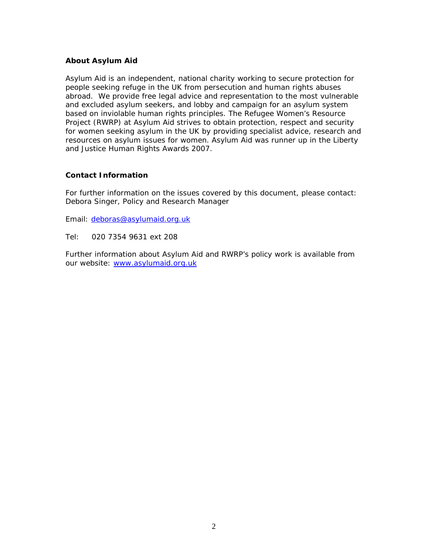#### **About Asylum Aid**

Asylum Aid is an independent, national charity working to secure protection for people seeking refuge in the UK from persecution and human rights abuses abroad. We provide free legal advice and representation to the most vulnerable and excluded asylum seekers, and lobby and campaign for an asylum system based on inviolable human rights principles. The Refugee Women's Resource Project (RWRP) at Asylum Aid strives to obtain protection, respect and security for women seeking asylum in the UK by providing specialist advice, research and resources on asylum issues for women. Asylum Aid was runner up in the Liberty and Justice Human Rights Awards 2007.

#### **Contact Information**

For further information on the issues covered by this document, please contact: Debora Singer, Policy and Research Manager

Email: deboras@asylumaid.org.uk

Tel: 020 7354 9631 ext 208

Further information about Asylum Aid and RWRP's policy work is available from our website: www.asylumaid.org.uk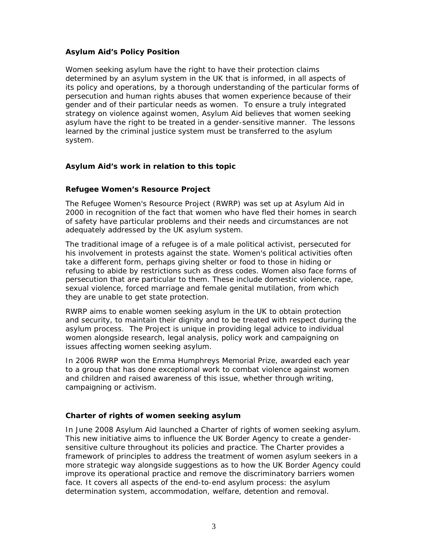#### **Asylum Aid's Policy Position**

Women seeking asylum have the right to have their protection claims determined by an asylum system in the UK that is informed, in all aspects of its policy and operations, by a thorough understanding of the particular forms of persecution and human rights abuses that women experience because of their gender and of their particular needs as women. To ensure a truly integrated strategy on violence against women, Asylum Aid believes that women seeking asylum have the right to be treated in a gender-sensitive manner. The lessons learned by the criminal justice system must be transferred to the asylum system.

#### **Asylum Aid's work in relation to this topic**

#### **Refugee Women's Resource Project**

The Refugee Women's Resource Project (RWRP) was set up at Asylum Aid in 2000 in recognition of the fact that women who have fled their homes in search of safety have particular problems and their needs and circumstances are not adequately addressed by the UK asylum system.

The traditional image of a refugee is of a male political activist, persecuted for his involvement in protests against the state. Women's political activities often take a different form, perhaps giving shelter or food to those in hiding or refusing to abide by restrictions such as dress codes. Women also face forms of persecution that are particular to them. These include domestic violence, rape, sexual violence, forced marriage and female genital mutilation, from which they are unable to get state protection.

RWRP aims to enable women seeking asylum in the UK to obtain protection and security, to maintain their dignity and to be treated with respect during the asylum process. The Project is unique in providing legal advice to individual women alongside research, legal analysis, policy work and campaigning on issues affecting women seeking asylum.

In 2006 RWRP won the Emma Humphreys Memorial Prize, awarded each year to a group that has done exceptional work to combat violence against women and children and raised awareness of this issue, whether through writing, campaigning or activism.

### *Charter of rights of women seeking asylum*

In June 2008 Asylum Aid launched a *Charter of rights of women seeking asylum*. This new initiative aims to influence the UK Border Agency to create a gendersensitive culture throughout its policies and practice. The Charter provides a framework of principles to address the treatment of women asylum seekers in a more strategic way alongside suggestions as to how the UK Border Agency could improve its operational practice and remove the discriminatory barriers women face. It covers all aspects of the end-to-end asylum process: the asylum determination system, accommodation, welfare, detention and removal.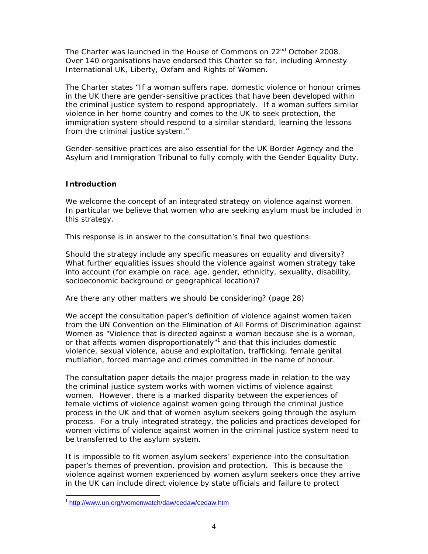The *Charter* was launched in the House of Commons on 22nd October 2008. Over 140 organisations have endorsed this *Charter* so far, including Amnesty International UK, Liberty, Oxfam and Rights of Women.

The *Charter* states "If a woman suffers rape, domestic violence or honour crimes in the UK there are gender-sensitive practices that have been developed within the criminal justice system to respond appropriately. If a woman suffers similar violence in her home country and comes to the UK to seek protection, the immigration system should respond to a similar standard, learning the lessons from the criminal justice system."

Gender-sensitive practices are also essential for the UK Border Agency and the Asylum and Immigration Tribunal to fully comply with the Gender Equality Duty.

#### **Introduction**

We welcome the concept of an integrated strategy on violence against women. In particular we believe that women who are seeking asylum must be included in this strategy.

This response is in answer to the consultation's final two questions:

*Should the strategy include any specific measures on equality and diversity? What further equalities issues should the violence against women strategy take into account (for example on race, age, gender, ethnicity, sexuality, disability, socioeconomic background or geographical location)?* 

#### *Are there any other matters we should be considering?* (page 28)

We accept the consultation paper's definition of violence against women taken from the UN Convention on the Elimination of All Forms of Discrimination against Women as "Violence that is directed against a woman because she is a woman, or that affects women disproportionately"<sup>1</sup> and that this includes domestic violence, sexual violence, abuse and exploitation, trafficking, female genital mutilation, forced marriage and crimes committed in the name of honour.

The consultation paper details the major progress made in relation to the way the criminal justice system works with women victims of violence against women. However, there is a marked disparity between the experiences of female victims of violence against women going through the criminal justice process in the UK and that of women asylum seekers going through the asylum process. For a truly integrated strategy, the policies and practices developed for women victims of violence against women in the criminal justice system need to be transferred to the asylum system.

It is impossible to fit women asylum seekers' experience into the consultation paper's themes of prevention, provision and protection. This is because the violence against women experienced by women asylum seekers once they arrive in the UK can include direct violence by state officials and failure to protect

<sup>&</sup>lt;sup>1</sup> http://www.un.org/womenwatch/daw/cedaw/cedaw.htm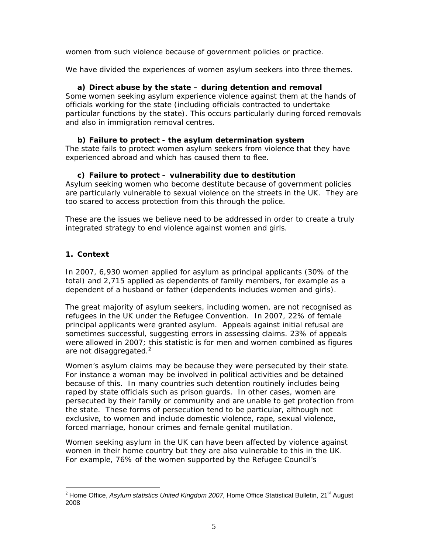women from such violence because of government policies or practice.

We have divided the experiences of women asylum seekers into three themes.

### **a) Direct abuse by the state – during detention and removal**

Some women seeking asylum experience violence against them at the hands of officials working for the state (including officials contracted to undertake particular functions by the state). This occurs particularly during forced removals and also in immigration removal centres.

#### **b) Failure to protect - the asylum determination system**

The state fails to protect women asylum seekers from violence that they have experienced abroad and which has caused them to flee.

#### **c) Failure to protect – vulnerability due to destitution**

Asylum seeking women who become destitute because of government policies are particularly vulnerable to sexual violence on the streets in the UK. They are too scared to access protection from this through the police.

These are the issues we believe need to be addressed in order to create a truly integrated strategy to end violence against women and girls.

### **1. Context**

In 2007, 6,930 women applied for asylum as principal applicants (30% of the total) and 2,715 applied as dependents of family members, for example as a dependent of a husband or father (dependents includes women and girls).

The great majority of asylum seekers, including women, are not recognised as refugees in the UK under the Refugee Convention. In 2007, 22% of female principal applicants were granted asylum. Appeals against initial refusal are sometimes successful, suggesting errors in assessing claims. 23% of appeals were allowed in 2007; this statistic is for men and women combined as figures are not disaggregated. $2$ 

Women's asylum claims may be because they were persecuted by their state. For instance a woman may be involved in political activities and be detained because of this. In many countries such detention routinely includes being raped by state officials such as prison guards. In other cases, women are persecuted by their family or community and are unable to get protection from the state. These forms of persecution tend to be particular, although not exclusive, to women and include domestic violence, rape, sexual violence, forced marriage, honour crimes and female genital mutilation.

Women seeking asylum in the UK can have been affected by violence against women in their home country but they are also vulnerable to this in the UK. For example, 76% of the women supported by the Refugee Council's

<sup>-</sup><sup>2</sup> Home Office, *Asylum statistics United Kingdom 2007*, Home Office Statistical Bulletin, 21<sup>st</sup> August 2008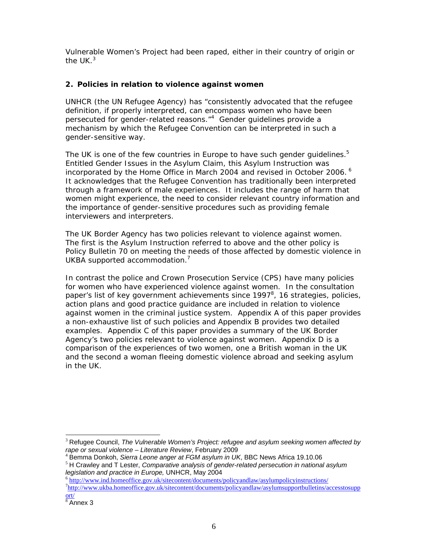Vulnerable Women's Project had been raped, either in their country of origin or the  $UK<sup>3</sup>$ 

### **2. Policies in relation to violence against women**

UNHCR (the UN Refugee Agency) has "consistently advocated that the refugee definition, if properly interpreted, can encompass women who have been persecuted for gender-related reasons."<sup>4</sup> Gender guidelines provide a mechanism by which the Refugee Convention can be interpreted in such a gender-sensitive way.

The UK is one of the few countries in Europe to have such gender quidelines. $5$ Entitled *Gender Issues in the Asylum Claim*, this Asylum Instruction was incorporated by the Home Office in March 2004 and revised in October 2006.<sup>6</sup> It acknowledges that the Refugee Convention has traditionally been interpreted through a framework of male experiences. It includes the range of harm that women might experience, the need to consider relevant country information and the importance of gender-sensitive procedures such as providing female interviewers and interpreters.

The UK Border Agency has two policies relevant to violence against women. The first is the Asylum Instruction referred to above and the other policy is Policy Bulletin 70 on meeting the needs of those affected by domestic violence in UKBA supported accommodation. $<sup>7</sup>$ </sup>

In contrast the police and Crown Prosecution Service (CPS) have many policies for women who have experienced violence against women. In the consultation paper's list of key government achievements since 1997 $^8$ , 16 strategies, policies, action plans and good practice guidance are included in relation to violence against women in the criminal justice system. Appendix A of this paper provides a non-exhaustive list of such policies and Appendix B provides two detailed examples. Appendix C of this paper provides a summary of the UK Border Agency's two policies relevant to violence against women. Appendix D is a comparison of the experiences of two women, one a British woman in the UK and the second a woman fleeing domestic violence abroad and seeking asylum in the UK.

<sup>-</sup><sup>3</sup> Refugee Council, *The Vulnerable Women's Project: refugee and asylum seeking women affected by*<br>rape or sexual violence – Literature Review, February 2009

<sup>&</sup>lt;sup>4</sup> Bemma Donkoh, *Sierra Leone anger at FGM asylum in UK*, BBC News Africa 19.10.06<br><sup>5</sup> H Crawley and T Lester, *Comparative analysis of gender-related persecution in national asylum*<br>*legislation and practice in Europe*,

<sup>&</sup>lt;sup>6</sup> http://www<u>.ind.homeoffice.gov.uk/sitecontent/documents/policyandlaw/asylumpolicyinstructions/</u> <sup>7</sup>http://www.ukba.homeoffice.gov.uk/sitecontent/documents/policyandlaw/asylumsupportbulletins/accesstosupp ort/

 $\frac{1}{8}$ Annex 3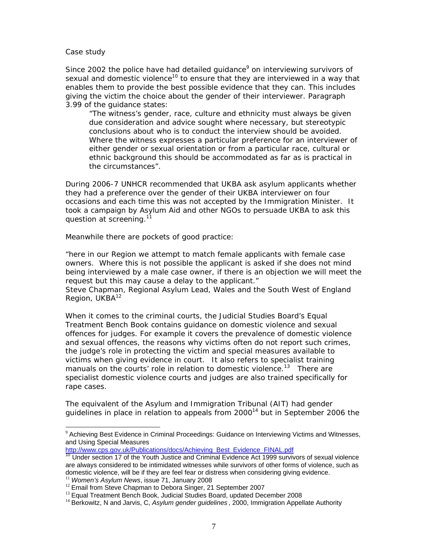#### *Case study*

-

*Since 2002 the police have had detailed guidance<sup>9</sup> on interviewing survivors of sexual and domestic violence10 to ensure that they are interviewed in a way that enables them to provide the best possible evidence that they can. This includes giving the victim the choice about the gender of their interviewer. Paragraph 3.99 of the guidance states:* 

*"The witness's gender, race, culture and ethnicity must always be given due consideration and advice sought where necessary, but stereotypic conclusions about who is to conduct the interview should be avoided. Where the witness expresses a particular preference for an interviewer of either gender or sexual orientation or from a particular race, cultural or ethnic background this should be accommodated as far as is practical in the circumstances".* 

*During 2006-7 UNHCR recommended that UKBA ask asylum applicants whether they had a preference over the gender of their UKBA interviewer on four occasions and each time this was not accepted by the Immigration Minister. It took a campaign by Asylum Aid and other NGOs to persuade UKBA to ask this question at screening.11* 

*Meanwhile there are pockets of good practice:* 

*"here in our Region we attempt to match female applicants with female case owners. Where this is not possible the applicant is asked if she does not mind*  being interviewed by a male case owner, if there is an objection we will meet the *request but this may cause a delay to the applicant." Steve Chapman, Regional Asylum Lead, Wales and the South West of England Region, UKBA12* 

When it comes to the criminal courts, the Judicial Studies Board's Equal Treatment Bench Book contains guidance on domestic violence and sexual offences for judges. For example it covers the prevalence of domestic violence and sexual offences, the reasons why victims often do not report such crimes, the judge's role in protecting the victim and special measures available to victims when giving evidence in court. It also refers to specialist training manuals on the courts' role in relation to domestic violence.<sup>13</sup> There are specialist domestic violence courts and judges are also trained specifically for rape cases.

The equivalent of the Asylum and Immigration Tribunal (AIT) had gender guidelines in place in relation to appeals from  $2000<sup>14</sup>$  but in September 2006 the

http://www.cps.gov.uk/Publications/docs/Achieving\_Best\_Evidence\_FINAL.pdf

 $9$  Achieving Best Evidence in Criminal Proceedings: Guidance on Interviewing Victims and Witnesses, and Using Special Measures

 $10$  Under section 17 of the Youth Justice and Criminal Evidence Act 1999 survivors of sexual violence are always considered to be intimidated witnesses while survivors of other forms of violence, such as domestic violence, will be if they are feel fear or distress when considering giving evidence.

<sup>&</sup>lt;sup>11</sup> Women's Asylum News, issue 71, January 2008<br><sup>12</sup> Email from Steve Chapman to Debora Singer, 21 September 2007<br><sup>13</sup> Equal Treatment Bench Book, Judicial Studies Board, updated December 2008<br><sup>14</sup> Berkowitz, N and Jarvis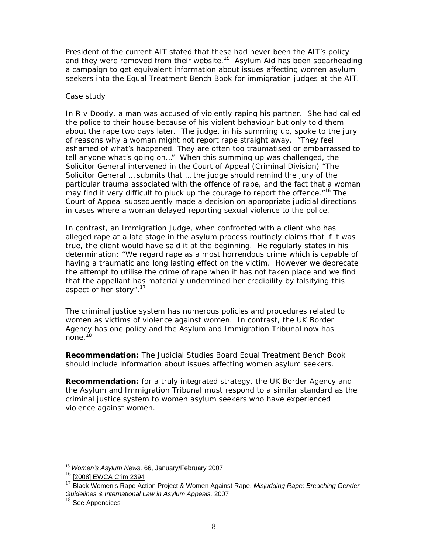President of the current AIT stated that these had never been the AIT's policy and they were removed from their website.<sup>15</sup> Asylum Aid has been spearheading a campaign to get equivalent information about issues affecting women asylum seekers into the Equal Treatment Bench Book for immigration judges at the AIT.

#### *Case study*

*In R v Doody, a man was accused of violently raping his partner. She had called the police to their house because of his violent behaviour but only told them about the rape two days later. The judge, in his summing up, spoke to the jury of reasons why a woman might not report rape straight away. "They feel ashamed of what's happened. They are often too traumatised or embarrassed to tell anyone what's going on…" When this summing up was challenged, the Solicitor General intervened in the Court of Appeal (Criminal Division) "The Solicitor General … submits that … the judge should remind the jury of the particular trauma associated with the offence of rape, and the fact that a woman may find it very difficult to pluck up the courage to report the offence."16 The Court of Appeal subsequently made a decision on appropriate judicial directions in cases where a woman delayed reporting sexual violence to the police.* 

*In contrast, an Immigration Judge, when confronted with a client who has alleged rape at a late stage in the asylum process routinely claims that if it was true, the client would have said it at the beginning. He regularly states in his determination: "We regard rape as a most horrendous crime which is capable of having a traumatic and long lasting effect on the victim. However we deprecate the attempt to utilise the crime of rape when it has not taken place and we find that the appellant has materially undermined her credibility by falsifying this aspect of her story".<sup>17</sup>*

The criminal justice system has numerous policies and procedures related to women as victims of violence against women. In contrast, the UK Border Agency has one policy and the Asylum and Immigration Tribunal now has none.<sup>18</sup>

**Recommendation:** The Judicial Studies Board Equal Treatment Bench Book should include information about issues affecting women asylum seekers.

**Recommendation:** for a truly integrated strategy, the UK Border Agency and the Asylum and Immigration Tribunal must respond to a similar standard as the criminal justice system to women asylum seekers who have experienced violence against women.

<sup>15</sup> *Women's Asylum News,* 66, January/February 2007

<sup>16</sup> [2008] EWCA Crim 2394

<sup>17</sup> Black Women's Rape Action Project & Women Against Rape, *Misjudging Rape: Breaching Gender Guidelines & International Law in Asylum Appeals,* 2007

 $18$  See Appendices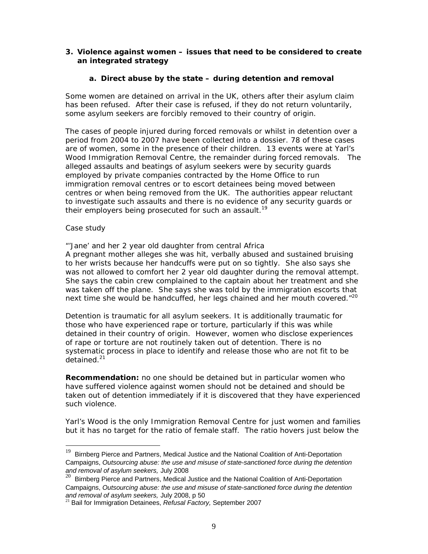#### **3. Violence against women – issues that need to be considered to create an integrated strategy**

#### **a. Direct abuse by the state – during detention and removal**

Some women are detained on arrival in the UK, others after their asylum claim has been refused. After their case is refused, if they do not return voluntarily, some asylum seekers are forcibly removed to their country of origin.

The cases of people injured during forced removals or whilst in detention over a period from 2004 to 2007 have been collected into a dossier. 78 of these cases are of women, some in the presence of their children. 13 events were at Yarl's Wood Immigration Removal Centre, the remainder during forced removals. The alleged assaults and beatings of asylum seekers were by security guards employed by private companies contracted by the Home Office to run immigration removal centres or to escort detainees being moved between centres or when being removed from the UK. The authorities appear reluctant to investigate such assaults and there is no evidence of any security guards or their employers being prosecuted for such an assault.<sup>19</sup>

#### *Case study*

-

#### *"'Jane' and her 2 year old daughter from central Africa*

*A pregnant mother alleges she was hit, verbally abused and sustained bruising to her wrists because her handcuffs were put on so tightly. She also says she was not allowed to comfort her 2 year old daughter during the removal attempt. She says the cabin crew complained to the captain about her treatment and she was taken off the plane. She says she was told by the immigration escorts that next time she would be handcuffed, her legs chained and her mouth covered."20*

Detention is traumatic for all asylum seekers. It is additionally traumatic for those who have experienced rape or torture, particularly if this was while detained in their country of origin. However, women who disclose experiences of rape or torture are not routinely taken out of detention. There is no systematic process in place to identify and release those who are not fit to be detained.<sup>21</sup>

**Recommendation:** no one should be detained but in particular women who have suffered violence against women should not be detained and should be taken out of detention immediately if it is discovered that they have experienced such violence.

Yarl's Wood is the only Immigration Removal Centre for just women and families but it has no target for the ratio of female staff. The ratio hovers just below the

 $19$  Birnberg Pierce and Partners, Medical Justice and the National Coalition of Anti-Deportation Campaigns, *Outsourcing abuse: the use and misuse of state-sanctioned force during the detention and removal of asylum seekers,* July 2008

 $^{20}$  Birnberg Pierce and Partners, Medical Justice and the National Coalition of Anti-Deportation Campaigns, *Outsourcing abuse: the use and misuse of state-sanctioned force during the detention*  and removal of asylum seekers, July 2008, p 50<br><sup>21</sup> Bail for Immigration Detainees, *Refusal Factory,* September 2007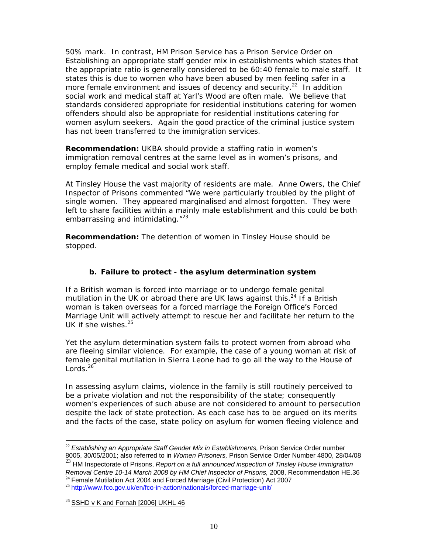50% mark. In contrast, HM Prison Service has a Prison Service Order on *Establishing an appropriate staff gender mix in establishments* which states that the appropriate ratio is generally considered to be 60:40 female to male staff. It states this is due to women who have been abused by men feeling safer in a more female environment and issues of decency and security. $22 \text{ In addition}$ social work and medical staff at Yarl's Wood are often male. We believe that standards considered appropriate for residential institutions catering for women offenders should also be appropriate for residential institutions catering for women asylum seekers. Again the good practice of the criminal justice system has not been transferred to the immigration services.

**Recommendation:** UKBA should provide a staffing ratio in women's immigration removal centres at the same level as in women's prisons, and employ female medical and social work staff.

At Tinsley House the vast majority of residents are male. Anne Owers, the Chief Inspector of Prisons commented "We were particularly troubled by the plight of single women. They appeared marginalised and almost forgotten. They were left to share facilities within a mainly male establishment and this could be both embarrassing and intimidating."<sup>23</sup>

**Recommendation:** The detention of women in Tinsley House should be stopped.

#### **b. Failure to protect - the asylum determination system**

If a British woman is forced into marriage or to undergo female genital mutilation in the UK or abroad there are UK laws against this.<sup>24</sup> If a British woman is taken overseas for a forced marriage the Foreign Office's Forced Marriage Unit will actively attempt to rescue her and facilitate her return to the UK if she wishes.25

Yet the asylum determination system fails to protect women from abroad who are fleeing similar violence. For example, the case of a young woman at risk of female genital mutilation in Sierra Leone had to go all the way to the House of  $L$ ords.<sup>26</sup>

In assessing asylum claims, violence in the family is still routinely perceived to be a private violation and not the responsibility of the state; consequently women's experiences of such abuse are not considered to amount to persecution despite the lack of state protection. As each case has to be argued on its merits and the facts of the case, state policy on asylum for women fleeing violence and

<sup>23</sup> HM Inspectorate of Prisons, *Report on a full announced inspection of Tinsley House Immigration* 

<sup>-</sup><sup>22</sup> *Establishing an Appropriate Staff Gender Mix in Establishments,* Prison Service Order number 8005, 30/05/2001; also referred to in *Women Prisoners,* Prison Service Order Number 4800, 28/04/08

Removal Centre 10-14 March 2008 by HM Chief Inspector of Prisons, 2008, Recommendation HE.36<br><sup>24</sup> Female Mutilation Act 2004 and Forced Marriage (Civil Protection) Act 2007<br><sup>25</sup> http://www.fco.gov.uk/en/fco-in-action/natio

 $26$  SSHD v K and Fornah [2006] UKHL 46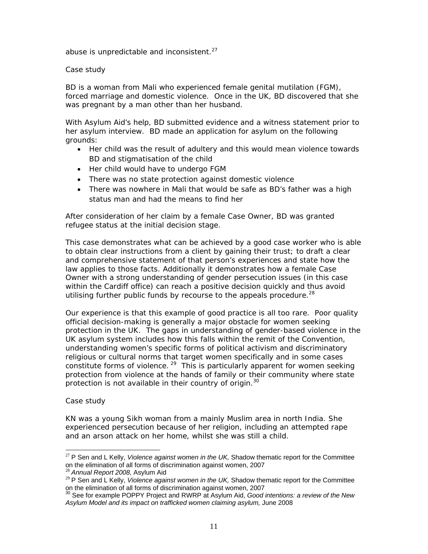abuse is unpredictable and inconsistent. $27$ 

*Case study* 

*BD is a woman from Mali who experienced female genital mutilation (FGM), forced marriage and domestic violence. Once in the UK, BD discovered that she was pregnant by a man other than her husband.* 

*With Asylum Aid's help, BD submitted evidence and a witness statement prior to her asylum interview. BD made an application for asylum on the following grounds:* 

- *Her child was the result of adultery and this would mean violence towards BD and stigmatisation of the child*
- *Her child would have to undergo FGM*
- *There was no state protection against domestic violence*
- *There was nowhere in Mali that would be safe as BD's father was a high status man and had the means to find her*

*After consideration of her claim by a female Case Owner, BD was granted refugee status at the initial decision stage.* 

*This case demonstrates what can be achieved by a good case worker who is able to obtain clear instructions from a client by gaining their trust; to draft a clear and comprehensive statement of that person's experiences and state how the law applies to those facts. Additionally it demonstrates how a female Case Owner with a strong understanding of gender persecution issues (in this case within the Cardiff office) can reach a positive decision quickly and thus avoid utilising further public funds by recourse to the appeals procedure.28*

Our experience is that this example of good practice is all too rare. Poor quality official decision-making is generally a major obstacle for women seeking protection in the UK. The gaps in understanding of gender-based violence in the UK asylum system includes how this falls within the remit of the Convention, understanding women's specific forms of political activism and discriminatory religious or cultural norms that target women specifically and in some cases constitute forms of violence.<sup>29</sup> This is particularly apparent for women seeking protection from violence at the hands of family or their community where state protection is not available in their country of origin.<sup>30</sup>

#### *Case study*

-

*KN was a young Sikh woman from a mainly Muslim area in north India. She experienced persecution because of her religion, including an attempted rape and an arson attack on her home, whilst she was still a child.* 

<sup>&</sup>lt;sup>27</sup> P Sen and L Kelly, *Violence against women in the UK*, Shadow thematic report for the Committee on the elimination of all forms of discrimination against women, 2007<br><sup>28</sup> *Annual Report 2008,* Asylum Aid<br><sup>29</sup> P Sen and L Kelly, *Violence against women in the UK,* Shadow thematic report for the Committee

on the elimination of all forms of discrimination against women, 2007<br><sup>30</sup> See for example POPPY Project and RWRP at Asylum Aid, *Good intentions: a review of the New* 

*Asylum Model and its impact on trafficked women claiming asylum,* June 2008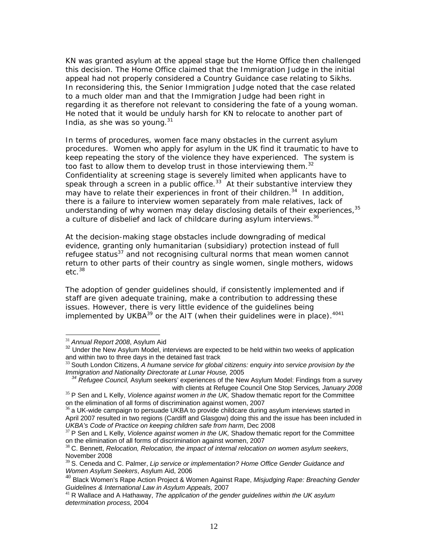*KN was granted asylum at the appeal stage but the Home Office then challenged this decision. The Home Office claimed that the Immigration Judge in the initial appeal had not properly considered a Country Guidance case relating to Sikhs. In reconsidering this, the Senior Immigration Judge noted that the case related to a much older man and that the Immigration Judge had been right in regarding it as therefore not relevant to considering the fate of a young woman. He noted that it would be unduly harsh for KN to relocate to another part of India, as she was so young.31*

In terms of procedures, women face many obstacles in the current asylum procedures. Women who apply for asylum in the UK find it traumatic to have to keep repeating the story of the violence they have experienced. The system is too fast to allow them to develop trust in those interviewing them.<sup>32</sup> Confidentiality at screening stage is severely limited when applicants have to speak through a screen in a public office.<sup>33</sup> At their substantive interview they may have to relate their experiences in front of their children.<sup>34</sup> In addition, there is a failure to interview women separately from male relatives, lack of understanding of why women may delay disclosing details of their experiences, 35 a culture of disbelief and lack of childcare during asylum interviews.<sup>36</sup>

At the decision-making stage obstacles include downgrading of medical evidence, granting only humanitarian (subsidiary) protection instead of full refugee status $37$  and not recognising cultural norms that mean women cannot return to other parts of their country as single women, single mothers, widows  $etc.$ <sup>38</sup>

The adoption of gender guidelines should, if consistently implemented and if staff are given adequate training, make a contribution to addressing these issues. However, there is very little evidence of the guidelines being implemented by UKBA $39$  or the AIT (when their guidelines were in place).  $4041$ 

<sup>&</sup>lt;sup>31</sup> Annual Report 2008, Asylum Aid

<sup>&</sup>lt;sup>32</sup> Under the New Asylum Model, interviews are expected to be held within two weeks of application and within two to three days in the detained fast track

<sup>33</sup> South London Citizens, *A humane service for global citizens: enquiry into service provision by the* 

*Immigration and Nationality Directorate at Lunar House, 2005 34 Refugee Council, Asylum Seekers' experiences of the New Asylum Model: Findings from a survey* 

with clients at Refugee Council One Stop Services, January 2008<br><sup>35</sup> P Sen and L Kelly, *Violence against women in the UK*, Shadow thematic report for the Committee<br>on the elimination of all forms of discrimination against

 $36$  a UK-wide campaign to persuade UKBA to provide childcare during asylum interviews started in April 2007 resulted in two regions (Cardiff and Glasgow) doing this and the issue has been included in UKBA's Code of Practice on keeping children safe from harm, Dec 2008

<sup>&</sup>lt;sup>37</sup> P Sen and L Kelly, *Violence against women in the UK*, Shadow thematic report for the Committee on the elimination of all forms of discrimination against women, 2007<br><sup>38</sup> C. Bennett, *Relocation, Relocation, the impact of internal relocation on women asylum seekers*,

November 2008

<sup>39</sup> S. Ceneda and C. Palmer, *Lip service or implementation? Home Office Gender Guidance and Women Asylum Seekers*, Asylum Aid, 2006

<sup>40</sup> Black Women's Rape Action Project & Women Against Rape, *Misjudging Rape: Breaching Gender Guidelines & International Law in Asylum Appeals, 2007*<br><sup>41</sup> R Wallace and A Hathaway, *The application of the gender guidelines within the UK asylum* 

*determination process,* 2004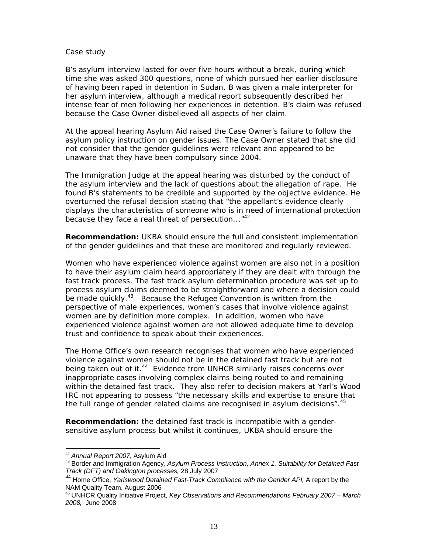#### *Case study*

*B's asylum interview lasted for over five hours without a break, during which time she was asked 300 questions, none of which pursued her earlier disclosure of having been raped in detention in Sudan. B was given a male interpreter for her asylum interview, although a medical report subsequently described her intense fear of men following her experiences in detention. B's claim was refused because the Case Owner disbelieved all aspects of her claim.* 

*At the appeal hearing Asylum Aid raised the Case Owner's failure to follow the asylum policy instruction on gender issues. The Case Owner stated that she did not consider that the gender guidelines were relevant and appeared to be unaware that they have been compulsory since 2004.* 

*The Immigration Judge at the appeal hearing was disturbed by the conduct of the asylum interview and the lack of questions about the allegation of rape. He found B's statements to be credible and supported by the objective evidence. He overturned the refusal decision stating that "the appellant's evidence clearly displays the characteristics of someone who is in need of international protection because they face a real threat of persecution..."42*

**Recommendation:** UKBA should ensure the full and consistent implementation of the gender guidelines and that these are monitored and regularly reviewed.

Women who have experienced violence against women are also not in a position to have their asylum claim heard appropriately if they are dealt with through the fast track process. The fast track asylum determination procedure was set up to process asylum claims deemed to be straightforward and where a decision could be made quickly.<sup>43</sup> Because the Refugee Convention is written from the perspective of male experiences, women's cases that involve violence against women are by definition more complex. In addition, women who have experienced violence against women are not allowed adequate time to develop trust and confidence to speak about their experiences.

The Home Office's own research recognises that women who have experienced violence against women should not be in the detained fast track but are not being taken out of it.<sup>44</sup> Evidence from UNHCR similarly raises concerns over inappropriate cases involving complex claims being routed to and remaining within the detained fast track. They also refer to decision makers at Yarl's Wood IRC not appearing to possess "the necessary skills and expertise to ensure that the full range of gender related claims are recognised in asylum decisions".<sup>45</sup>

**Recommendation:** the detained fast track is incompatible with a gendersensitive asylum process but whilst it continues, UKBA should ensure the

<sup>&</sup>lt;sup>42</sup> Annual Report 2007, Asylum Aid

<sup>&</sup>lt;sup>43</sup> Border and Immigration Agency, Asylum Process Instruction, Annex 1, Suitability for Detained Fast *Track (DFT) and Oakington processes,* 28 July 2007

<sup>44</sup> Home Office, *Yarlswood Detained Fast-Track Compliance with the Gender API,* A report by the NAM Quality Team, August 2006

<sup>45</sup> UNHCR Quality Initiative Project, *Key Observations and Recommendations February 2007 – March 2008,* June 2008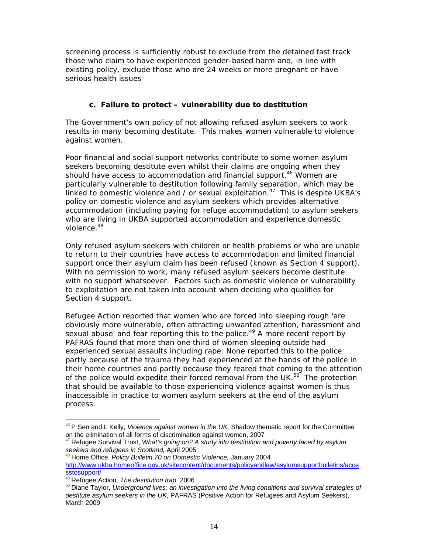screening process is sufficiently robust to exclude from the detained fast track those who claim to have experienced gender-based harm and, in line with existing policy, exclude those who are 24 weeks or more pregnant or have serious health issues

#### **c. Failure to protect – vulnerability due to destitution**

The Government's own policy of not allowing refused asylum seekers to work results in many becoming destitute. This makes women vulnerable to violence against women.

Poor financial and social support networks contribute to some women asylum seekers becoming destitute even whilst their claims are ongoing when they should have access to accommodation and financial support.<sup>46</sup> Women are particularly vulnerable to destitution following family separation, which may be linked to domestic violence and / or sexual exploitation.<sup>47</sup> This is despite UKBA's policy on domestic violence and asylum seekers which provides alternative accommodation (including paying for refuge accommodation) to asylum seekers who are living in UKBA supported accommodation and experience domestic violence.48

Only refused asylum seekers with children or health problems or who are unable to return to their countries have access to accommodation and limited financial support once their asylum claim has been refused (known as Section 4 support). With no permission to work, many refused asylum seekers become destitute with no support whatsoever. Factors such as domestic violence or vulnerability to exploitation are not taken into account when deciding who qualifies for Section 4 support.

Refugee Action reported that women who are forced into sleeping rough 'are obviously more vulnerable, often attracting unwanted attention, harassment and sexual abuse' and fear reporting this to the police.<sup>49</sup> A more recent report by PAFRAS found that more than one third of women sleeping outside had experienced sexual assaults including rape. None reported this to the police partly because of the trauma they had experienced at the hands of the police in their home countries and partly because they feared that coming to the attention of the police would expedite their forced removal from the UK. $50^{\circ}$  The protection that should be available to those experiencing violence against women is thus inaccessible in practice to women asylum seekers at the end of the asylum process.

<sup>-</sup><sup>46</sup> P Sen and L Kelly, *Violence against women in the UK*, Shadow thematic report for the Committee on the elimination of all forms of discrimination against women, 2007

<sup>&</sup>lt;sup>47</sup> Refugee Survival Trust, What's going on? A study into destitution and poverty faced by asylum seekers and refugees in Scotland, April 2005

*seekers and refugees in Scotland,* April 2005 <sup>48</sup> Home Office, *Policy Bulletin 70 on Domestic Violence,* January 2004 http://www.ukba.homeoffice.gov.uk/sitecontent/documents/policyandlaw/asylumsupportbulletins/acce

sstosupport/<br><sup>49</sup> Refugee Action, *The destitution trap,* 2006

<sup>&</sup>lt;sup>50</sup> Diane Taylor, *Underground lives: an investigation into the living conditions and survival strategies of destitute asylum seekers in the UK,* PAFRAS (Positive Action for Refugees and Asylum Seekers), March 2009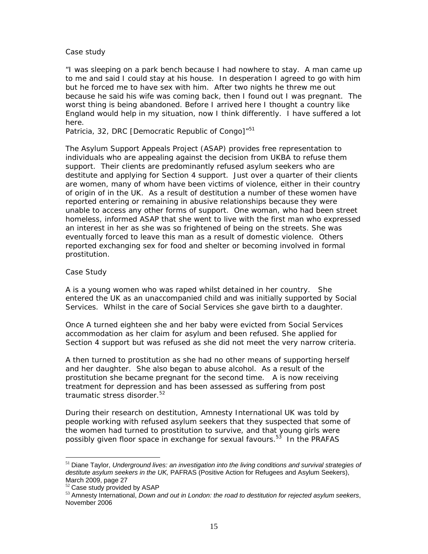#### *Case study*

*"I was sleeping on a park bench because I had nowhere to stay. A man came up to me and said I could stay at his house. In desperation I agreed to go with him but he forced me to have sex with him. After two nights he threw me out because he said his wife was coming back, then I found out I was pregnant. The worst thing is being abandoned. Before I arrived here I thought a country like England would help in my situation, now I think differently. I have suffered a lot here.* 

*Patricia, 32, DRC [Democratic Republic of Congo]"<sup>51</sup>*

The Asylum Support Appeals Project (ASAP) provides free representation to individuals who are appealing against the decision from UKBA to refuse them support. Their clients are predominantly refused asylum seekers who are destitute and applying for Section 4 support. Just over a quarter of their clients are women, many of whom have been victims of violence, either in their country of origin of in the UK. As a result of destitution a number of these women have reported entering or remaining in abusive relationships because they were unable to access any other forms of support. One woman, who had been street homeless, informed ASAP that she went to live with the first man who expressed an interest in her as she was so frightened of being on the streets. She was eventually forced to leave this man as a result of domestic violence. Others reported exchanging sex for food and shelter or becoming involved in formal prostitution.

#### *Case Study*

*A is a young women who was raped whilst detained in her country. She entered the UK as an unaccompanied child and was initially supported by Social Services. Whilst in the care of Social Services she gave birth to a daughter.* 

*Once A turned eighteen she and her baby were evicted from Social Services accommodation as her claim for asylum and been refused. She applied for Section 4 support but was refused as she did not meet the very narrow criteria.* 

*A then turned to prostitution as she had no other means of supporting herself and her daughter. She also began to abuse alcohol. As a result of the prostitution she became pregnant for the second time. A is now receiving treatment for depression and has been assessed as suffering from post traumatic stress disorder.52* 

During their research on destitution, Amnesty International UK was told by people working with refused asylum seekers that they suspected that some of the women had turned to prostitution to survive, and that young girls were possibly given floor space in exchange for sexual favours.<sup>53</sup> In the PRAFAS

<sup>51</sup> Diane Taylor, *Underground lives: an investigation into the living conditions and survival strategies of destitute asylum seekers in the UK,* PAFRAS (Positive Action for Refugees and Asylum Seekers), March 2009, page 27<br><sup>52</sup> Case study provided by ASAP

<sup>53</sup> Amnesty International, *Down and out in London: the road to destitution for rejected asylum seekers*, November 2006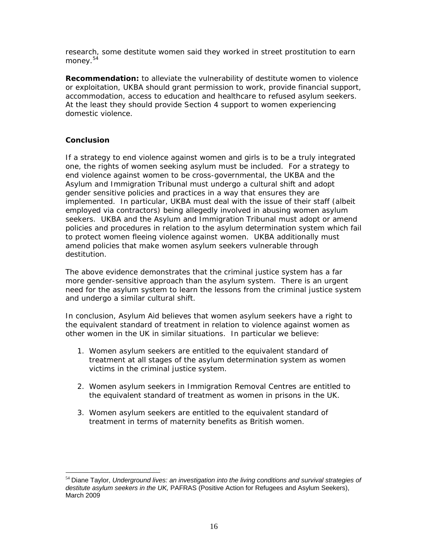research, some destitute women said they worked in street prostitution to earn money.<sup>54</sup>

**Recommendation:** to alleviate the vulnerability of destitute women to violence or exploitation, UKBA should grant permission to work, provide financial support, accommodation, access to education and healthcare to refused asylum seekers. At the least they should provide Section 4 support to women experiencing domestic violence.

### **Conclusion**

-

If a strategy to end violence against women and girls is to be a truly integrated one, the rights of women seeking asylum must be included. For a strategy to end violence against women to be cross-governmental, the UKBA and the Asylum and Immigration Tribunal must undergo a cultural shift and adopt gender sensitive policies and practices in a way that ensures they are implemented. In particular, UKBA must deal with the issue of their staff (albeit employed via contractors) being allegedly involved in abusing women asylum seekers. UKBA and the Asylum and Immigration Tribunal must adopt or amend policies and procedures in relation to the asylum determination system which fail to protect women fleeing violence against women. UKBA additionally must amend policies that make women asylum seekers vulnerable through destitution.

The above evidence demonstrates that the criminal justice system has a far more gender-sensitive approach than the asylum system. There is an urgent need for the asylum system to learn the lessons from the criminal justice system and undergo a similar cultural shift.

In conclusion, Asylum Aid believes that women asylum seekers have a right to the equivalent standard of treatment in relation to violence against women as other women in the UK in similar situations. In particular we believe:

- 1. Women asylum seekers are entitled to the equivalent standard of treatment at all stages of the asylum determination system as women victims in the criminal justice system.
- 2. Women asylum seekers in Immigration Removal Centres are entitled to the equivalent standard of treatment as women in prisons in the UK.
- 3. Women asylum seekers are entitled to the equivalent standard of treatment in terms of maternity benefits as British women.

<sup>54</sup> Diane Taylor, *Underground lives: an investigation into the living conditions and survival strategies of destitute asylum seekers in the UK,* PAFRAS (Positive Action for Refugees and Asylum Seekers), March 2009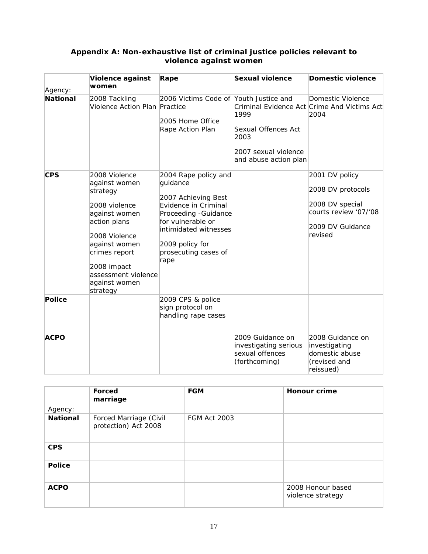| Agency:         | Violence against<br>women                                                                                                                                                                                          | Rape                                                                                                                                                                                                      | Sexual violence                                                                      | <b>Domestic violence</b>                                                                                       |
|-----------------|--------------------------------------------------------------------------------------------------------------------------------------------------------------------------------------------------------------------|-----------------------------------------------------------------------------------------------------------------------------------------------------------------------------------------------------------|--------------------------------------------------------------------------------------|----------------------------------------------------------------------------------------------------------------|
| <b>National</b> | 2008 Tackling<br>Violence Action Plan Practice                                                                                                                                                                     | 2006 Victims Code of Youth Justice and<br>2005 Home Office<br>Rape Action Plan                                                                                                                            | 1999<br>Sexual Offences Act<br>2003<br>2007 sexual violence<br>and abuse action plan | Domestic Violence<br>Criminal Evidence Act Crime And Victims Act<br>2004                                       |
| <b>CPS</b>      | 2008 Violence<br>against women<br>strategy<br>2008 violence<br>against women<br>action plans<br>2008 Violence<br>against women<br>crimes report<br>2008 impact<br>assessment violence<br>against women<br>strategy | 2004 Rape policy and<br>guidance<br>2007 Achieving Best<br>Evidence in Criminal<br>Proceeding - Guidance<br>for vulnerable or<br>intimidated witnesses<br>2009 policy for<br>prosecuting cases of<br>rape |                                                                                      | 2001 DV policy<br>2008 DV protocols<br>2008 DV special<br>courts review '07/'08<br>2009 DV Guidance<br>revised |
| Police          |                                                                                                                                                                                                                    | 2009 CPS & police<br>sign protocol on<br>handling rape cases                                                                                                                                              |                                                                                      |                                                                                                                |
| <b>ACPO</b>     |                                                                                                                                                                                                                    |                                                                                                                                                                                                           | 2009 Guidance on<br>investigating serious<br>sexual offences<br>(forthcoming)        | 2008 Guidance on<br>investigating<br>domestic abuse<br>(revised and<br>reissued)                               |

## **Appendix A: Non-exhaustive list of criminal justice policies relevant to violence against women**

| Agency:         | Forced<br>marriage                             | <b>FGM</b>          | <b>Honour crime</b>                    |
|-----------------|------------------------------------------------|---------------------|----------------------------------------|
| <b>National</b> | Forced Marriage (Civil<br>protection) Act 2008 | <b>FGM Act 2003</b> |                                        |
| <b>CPS</b>      |                                                |                     |                                        |
| <b>Police</b>   |                                                |                     |                                        |
| <b>ACPO</b>     |                                                |                     | 2008 Honour based<br>violence strategy |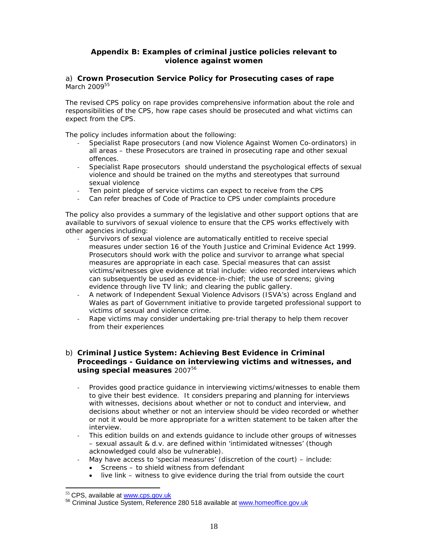#### **Appendix B: Examples of criminal justice policies relevant to violence against women**

#### a) **Crown Prosecution Service Policy for Prosecuting cases of rape**  March 2009<sup>55</sup>

The revised CPS policy on rape provides comprehensive information about the role and responsibilities of the CPS, how rape cases should be prosecuted and what victims can expect from the CPS.

The policy includes information about the following:

- ‐ Specialist Rape prosecutors (and now Violence Against Women Co-ordinators) in all areas – these Prosecutors are trained in prosecuting rape and other sexual offences.
- ‐ Specialist Rape prosecutors should understand the psychological effects of sexual violence and should be trained on the myths and stereotypes that surround sexual violence
- Ten point pledge of service victims can expect to receive from the CPS
- ‐ Can refer breaches of Code of Practice to CPS under complaints procedure

The policy also provides a summary of the legislative and other support options that are available to survivors of sexual violence to ensure that the CPS works effectively with other agencies including:

- Survivors of sexual violence are automatically entitled to receive special measures under section 16 of the Youth Justice and Criminal Evidence Act 1999. Prosecutors should work with the police and survivor to arrange what special measures are appropriate in each case. Special measures that can assist victims/witnesses give evidence at trial include: video recorded interviews which can subsequently be used as evidence-in-chief; the use of screens; giving evidence through live TV link; and clearing the public gallery.
- ‐ A network of Independent Sexual Violence Advisors (ISVA's) across England and Wales as part of Government initiative to provide targeted professional support to victims of sexual and violence crime.
- Rape victims may consider undertaking pre-trial therapy to help them recover from their experiences

#### b) **Criminal Justice System: Achieving Best Evidence in Criminal Proceedings - Guidance on interviewing victims and witnesses, and using special measures** 2007<sup>56</sup>

- ‐ Provides good practice guidance in interviewing victims/witnesses to enable them to give their best evidence. It considers preparing and planning for interviews with witnesses, decisions about whether or not to conduct and interview, and decisions about whether or not an interview should be video recorded or whether or not it would be more appropriate for a written statement to be taken after the interview.
- This edition builds on and extends guidance to include other groups of witnesses – sexual assault & d.v. are defined within 'intimidated witnesses' (though acknowledged could also be vulnerable).
- ‐ May have access to 'special measures' (discretion of the court) include:
	- Screens to shield witness from defendant
	- live link witness to give evidence during the trial from outside the court

<sup>&</sup>lt;sup>55</sup> CPS, available at www.cps.gov.uk<br><sup>56</sup> Criminal Justice System, Reference 280 518 available at www.homeoffice.gov.uk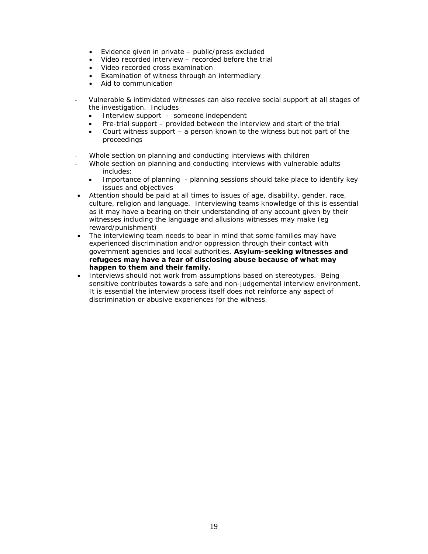- Evidence given in private public/press excluded
- Video recorded interview recorded before the trial
- Video recorded cross examination
- Examination of witness through an intermediary
- Aid to communication
- ‐ Vulnerable & intimidated witnesses can also receive social support at all stages of the investigation. Includes
	- Interview support someone independent
	- Pre-trial support provided between the interview and start of the trial
	- Court witness support  $-$  a person known to the witness but not part of the proceedings
- Whole section on planning and conducting interviews with children
- ‐ Whole section on planning and conducting interviews with vulnerable adults includes:
	- Importance of planning planning sessions should take place to identify key issues and objectives
- Attention should be paid at all times to issues of age, disability, gender, race, culture, religion and language. Interviewing teams knowledge of this is essential as it may have a bearing on their understanding of any account given by their witnesses including the language and allusions witnesses may make (eg reward/punishment)
- The interviewing team needs to bear in mind that some families may have experienced discrimination and/or oppression through their contact with government agencies and local authorities. **Asylum-seeking witnesses and refugees may have a fear of disclosing abuse because of what may happen to them and their family.**
- Interviews should not work from assumptions based on stereotypes. Being sensitive contributes towards a safe and non-judgemental interview environment. It is essential the interview process itself does not reinforce any aspect of discrimination or abusive experiences for the witness.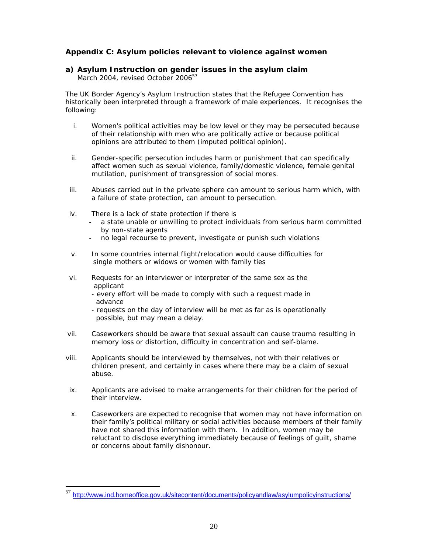#### **Appendix C: Asylum policies relevant to violence against women**

### **a) Asylum Instruction on gender issues in the asylum claim**

March 2004, revised October 2006<sup>57</sup>

The UK Border Agency's Asylum Instruction states that the Refugee Convention has historically been interpreted through a framework of male experiences. It recognises the following:

- i. Women's political activities may be low level or they may be persecuted because of their relationship with men who are politically active or because political opinions are attributed to them (imputed political opinion).
- ii. Gender-specific persecution includes harm or punishment that can specifically affect women such as sexual violence, family/domestic violence, female genital mutilation, punishment of transgression of social mores.
- iii. Abuses carried out in the private sphere can amount to serious harm which, with a failure of state protection, can amount to persecution.
- iv. There is a lack of state protection if there is

- ‐ a state unable or unwilling to protect individuals from serious harm committed by non-state agents
- ‐ no legal recourse to prevent, investigate or punish such violations
- v. In some countries internal flight/relocation would cause difficulties for single mothers or widows or women with family ties
- vi. Requests for an interviewer or interpreter of the same sex as the applicant
	- every effort will be made to comply with such a request made in advance
	- requests on the day of interview will be met as far as is operationally possible, but may mean a delay.
- vii. Caseworkers should be aware that sexual assault can cause trauma resulting in memory loss or distortion, difficulty in concentration and self-blame.
- viii. Applicants should be interviewed by themselves, not with their relatives or children present, and certainly in cases where there may be a claim of sexual abuse.
- ix. Applicants are advised to make arrangements for their children for the period of their interview.
- x. Caseworkers are expected to recognise that women may not have information on their family's political military or social activities because members of their family have not shared this information with them. In addition, women may be reluctant to disclose everything immediately because of feelings of guilt, shame or concerns about family dishonour.

<sup>57</sup> http://www.ind.homeoffice.gov.uk/sitecontent/documents/policyandlaw/asylumpolicyinstructions/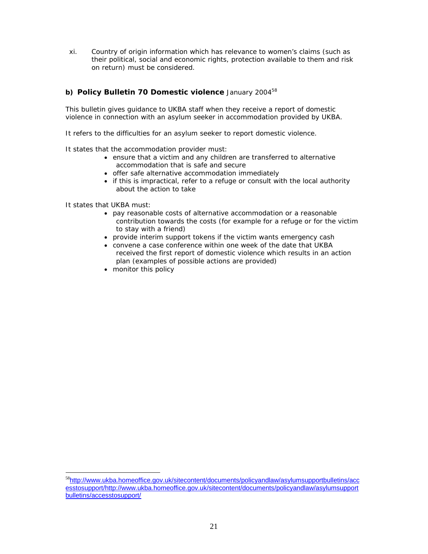xi. Country of origin information which has relevance to women's claims (such as their political, social and economic rights, protection available to them and risk on return) must be considered.

#### **b) Policy Bulletin 70 Domestic violence** January 2004<sup>58</sup>

This bulletin gives guidance to UKBA staff when they receive a report of domestic violence in connection with an asylum seeker in accommodation provided by UKBA.

It refers to the difficulties for an asylum seeker to report domestic violence.

It states that the accommodation provider must:

- ensure that a victim and any children are transferred to alternative accommodation that is safe and secure
- offer safe alternative accommodation immediately
- if this is impractical, refer to a refuge or consult with the local authority about the action to take

It states that UKBA must:

- pay reasonable costs of alternative accommodation or a reasonable contribution towards the costs (for example for a refuge or for the victim to stay with a friend)
- provide interim support tokens if the victim wants emergency cash
- convene a case conference within one week of the date that UKBA received the first report of domestic violence which results in an action plan (examples of possible actions are provided)
- monitor this policy

<sup>&</sup>lt;sup>58</sup>http://www.ukba.homeoffice.gov.uk/sitecontent/documents/policyandlaw/asylumsupportbulletins/acc esstosupport/http://www.ukba.homeoffice.gov.uk/sitecontent/documents/policyandlaw/asylumsupport bulletins/accesstosupport/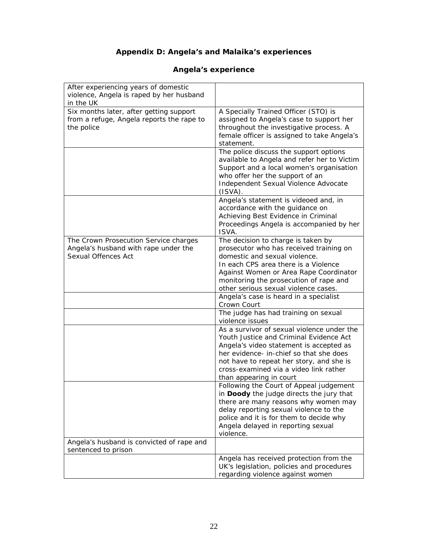### **Appendix D: Angela's and Malaika's experiences**

#### After experiencing years of domestic violence, Angela is raped by her husband in the UK Six months later, after getting support from a refuge, Angela reports the rape to the police A Specially Trained Officer (STO) is assigned to Angela's case to support her throughout the investigative process. A female officer is assigned to take Angela's statement. The police discuss the support options available to Angela and refer her to Victim Support and a local women's organisation who offer her the support of an Independent Sexual Violence Advocate (ISVA). Angela's statement is videoed and, in accordance with the guidance on Achieving Best Evidence in Criminal Proceedings Angela is accompanied by her ISVA. The Crown Prosecution Service charges Angela's husband with rape under the Sexual Offences Act The decision to charge is taken by prosecutor who has received training on domestic and sexual violence. In each CPS area there is a Violence Against Women or Area Rape Coordinator monitoring the prosecution of rape and other serious sexual violence cases. Angela's case is heard in a specialist Crown Court The judge has had training on sexual violence issues As a survivor of sexual violence under the Youth Justice and Criminal Evidence Act Angela's video statement is accepted as her evidence- in-chief so that she does not have to repeat her story, and she is cross-examined via a video link rather than appearing in court Following the Court of Appeal judgement in **Doody** the judge directs the jury that there are many reasons why women may delay reporting sexual violence to the police and it is for them to decide why Angela delayed in reporting sexual violence. Angela's husband is convicted of rape and sentenced to prison Angela has received protection from the UK's legislation, policies and procedures regarding violence against women

#### **Angela's experience**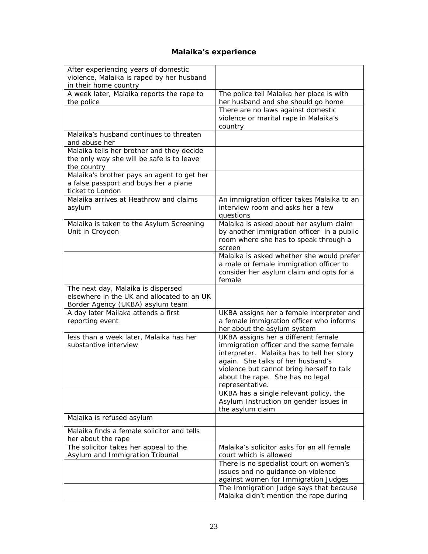# **Malaika's experience**

| After experiencing years of domestic       |                                                                                 |
|--------------------------------------------|---------------------------------------------------------------------------------|
| violence, Malaika is raped by her husband  |                                                                                 |
| in their home country                      |                                                                                 |
| A week later, Malaika reports the rape to  | The police tell Malaika her place is with                                       |
| the police                                 | her husband and she should go home                                              |
|                                            | There are no laws against domestic                                              |
|                                            | violence or marital rape in Malaika's                                           |
|                                            | country                                                                         |
| Malaika's husband continues to threaten    |                                                                                 |
| and abuse her                              |                                                                                 |
| Malaika tells her brother and they decide  |                                                                                 |
| the only way she will be safe is to leave  |                                                                                 |
| the country                                |                                                                                 |
| Malaika's brother pays an agent to get her |                                                                                 |
| a false passport and buys her a plane      |                                                                                 |
| ticket to London                           |                                                                                 |
| Malaika arrives at Heathrow and claims     | An immigration officer takes Malaika to an                                      |
| asylum                                     | interview room and asks her a few                                               |
|                                            | questions                                                                       |
| Malaika is taken to the Asylum Screening   | Malaika is asked about her asylum claim                                         |
| Unit in Croydon                            | by another immigration officer in a public                                      |
|                                            | room where she has to speak through a                                           |
|                                            | screen                                                                          |
|                                            | Malaika is asked whether she would prefer                                       |
|                                            | a male or female immigration officer to                                         |
|                                            | consider her asylum claim and opts for a                                        |
|                                            | female                                                                          |
| The next day, Malaika is dispersed         |                                                                                 |
| elsewhere in the UK and allocated to an UK |                                                                                 |
| Border Agency (UKBA) asylum team           |                                                                                 |
| A day later Mailaka attends a first        | UKBA assigns her a female interpreter and                                       |
| reporting event                            | a female immigration officer who informs                                        |
|                                            | her about the asylum system                                                     |
| less than a week later, Malaika has her    | UKBA assigns her a different female                                             |
| substantive interview                      | immigration officer and the same female                                         |
|                                            | interpreter. Malaika has to tell her story                                      |
|                                            | again. She talks of her husband's                                               |
|                                            | violence but cannot bring herself to talk                                       |
|                                            | about the rape. She has no legal                                                |
|                                            | representative.                                                                 |
|                                            | UKBA has a single relevant policy, the                                          |
|                                            | Asylum Instruction on gender issues in                                          |
|                                            |                                                                                 |
| Malaika is refused asylum                  | the asylum claim                                                                |
|                                            |                                                                                 |
|                                            |                                                                                 |
| Malaika finds a female solicitor and tells |                                                                                 |
| her about the rape                         |                                                                                 |
| The solicitor takes her appeal to the      | Malaika's solicitor asks for an all female                                      |
| Asylum and Immigration Tribunal            | court which is allowed                                                          |
|                                            | There is no specialist court on women's                                         |
|                                            | issues and no guidance on violence                                              |
|                                            | against women for Immigration Judges<br>The Immigration Judge says that because |